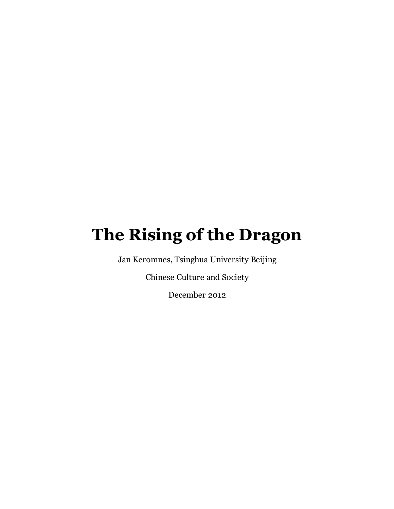## **The Rising of the Dragon**

Jan Keromnes, Tsinghua University Beijing

Chinese Culture and Society

December 2012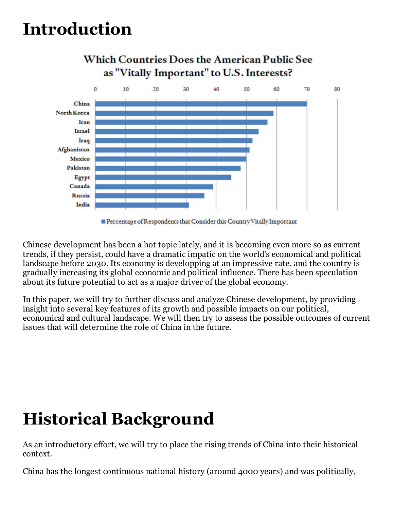# **Introduction**



Chinese development has been a hot topic lately, and it is becoming even more so as current trends, if they persist, could have a dramatic impatic on the world's economical and political landscape before 2030. Its economy is developping at an impressive rate, and the country is gradually increasing its global economic and political influence. There has been speculation about its future potential to act as a major driver of the global economy.

In this paper, we will try to further discuss and analyze Chinese development, by providing insight into several key features of its growth and possible impacts on our political, economical and cultural landscape. We will then try to assess the possible outcomes of current issues that will determine the role of China in the future.

# **Historical Background**

As an introductory effort, we will try to place the rising trends of China into their historical context.

China has the longest continuous national history (around 4000 years) and was politically,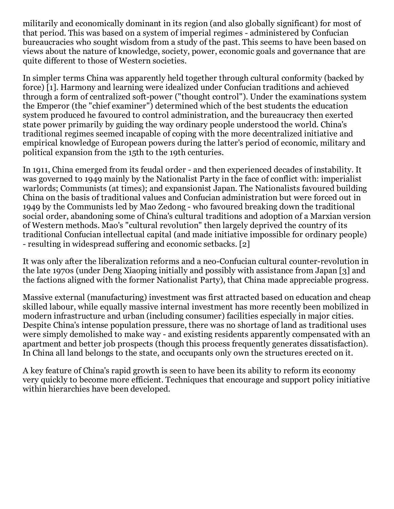militarily and economically dominant in its region (and also globally significant) for most of that period. This was based on a system of imperial regimes - administered by Confucian bureaucracies who sought wisdom from a study of the past. This seems to have been based on views about the nature of knowledge, society, power, economic goals and governance that are quite different to those of Western societies.

In simpler terms China was apparently held together through cultural conformity (backed by force) [1]. Harmony and learning were idealized under Confucian traditions and achieved through a form of centralized soft-power ("thought control"). Under the examinations system the Emperor (the "chief examiner") determined which of the best students the education system produced he favoured to control administration, and the bureaucracy then exerted state power primarily by guiding the way ordinary people understood the world. China's traditional regimes seemed incapable of coping with the more decentralized initiative and empirical knowledge of European powers during the latter's period of economic, military and political expansion from the 15th to the 19th centuries.

In 1911, China emerged from its feudal order - and then experienced decades of instability. It was governed to 1949 mainly by the Nationalist Party in the face of conflict with: imperialist warlords; Communists (at times); and expansionist Japan. The Nationalists favoured building China on the basis of traditional values and Confucian administration but were forced out in 1949 by the Communists led by Mao Zedong - who favoured breaking down the traditional social order, abandoning some of China's cultural traditions and adoption of a Marxian version of Western methods. Mao's "cultural revolution" then largely deprived the country of its traditional Confucian intellectual capital (and made initiative impossible for ordinary people) - resulting in widespread suffering and economic setbacks. [2]

It was only after the liberalization reforms and a neo-Confucian cultural counter-revolution in the late 1970s (under Deng Xiaoping initially and possibly with assistance from Japan [3] and the factions aligned with the former Nationalist Party), that China made appreciable progress.

Massive external (manufacturing) investment was first attracted based on education and cheap skilled labour, while equally massive internal investment has more recently been mobilized in modern infrastructure and urban (including consumer) facilities especially in major cities. Despite China's intense population pressure, there was no shortage of land as traditional uses were simply demolished to make way - and existing residents apparently compensated with an apartment and better job prospects (though this process frequently generates dissatisfaction). In China all land belongs to the state, and occupants only own the structures erected on it.

A key feature of China's rapid growth is seen to have been its ability to reform its economy very quickly to become more efficient. Techniques that encourage and support policy initiative within hierarchies have been developed.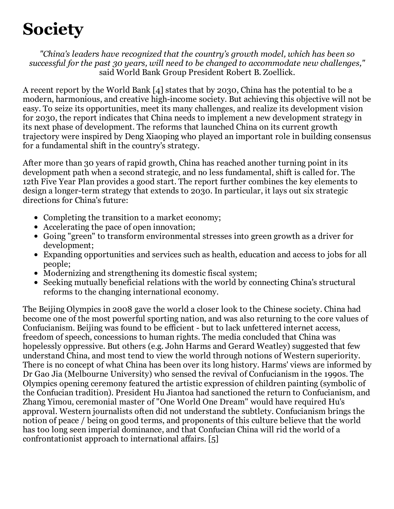# **Society**

*"China's leaders have recognized that the country's growth model, which has been so successful for the past 30 years, will need to be changed to accommodate new challenges,"* said World Bank Group President Robert B. Zoellick.

A recent report by the World Bank [4] states that by 2030, China has the potential to be a modern, harmonious, and creative high-income society. But achieving this objective will not be easy. To seize its opportunities, meet its many challenges, and realize its development vision for 2030, the report indicates that China needs to implement a new development strategy in its next phase of development. The reforms that launched China on its current growth trajectory were inspired by Deng Xiaoping who played an important role in building consensus for a fundamental shift in the country's strategy.

After more than 30 years of rapid growth, China has reached another turning point in its development path when a second strategic, and no less fundamental, shift is called for. The 12th Five Year Plan provides a good start. The report further combines the key elements to design a longer-term strategy that extends to 2030. In particular, it lays out six strategic directions for China's future:

- Completing the transition to a market economy;
- Accelerating the pace of open innovation;
- Going "green" to transform environmental stresses into green growth as a driver for development;
- Expanding opportunities and services such as health, education and access to jobs for all people;
- Modernizing and strengthening its domestic fiscal system;
- Seeking mutually beneficial relations with the world by connecting China's structural reforms to the changing international economy.

The Beijing Olympics in 2008 gave the world a closer look to the Chinese society. China had become one of the most powerful sporting nation, and was also returning to the core values of Confucianism. Beijing was found to be efficient - but to lack unfettered internet access, freedom of speech, concessions to human rights. The media concluded that China was hopelessly oppressive. But others (e.g. John Harms and Gerard Weatley) suggested that few understand China, and most tend to view the world through notions of Western superiority. There is no concept of what China has been over its long history. Harms' views are informed by Dr Gao Jia (Melbourne University) who sensed the revival of Confucianism in the 1990s. The Olympics opening ceremony featured the artistic expression of children painting (symbolic of the Confucian tradition). President Hu Jiantoa had sanctioned the return to Confucianism, and Zhang Yimou, ceremonial master of "One World One Dream" would have required Hu's approval. Western journalists often did not understand the subtlety. Confucianism brings the notion of peace / being on good terms, and proponents of this culture believe that the world has too long seen imperial dominance, and that Confucian China will rid the world of a confrontationist approach to international affairs. [5]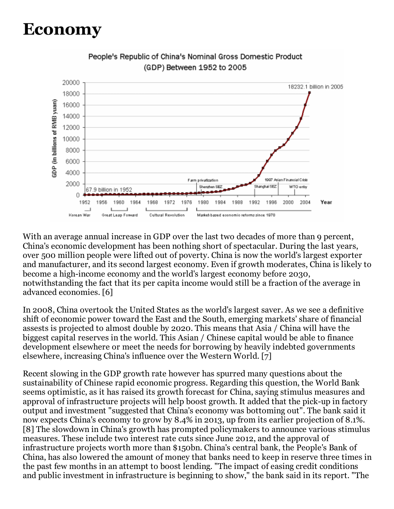#### **Economy**



People's Republic of China's Nominal Gross Domestic Product (GDP) Between 1952 to 2005

With an average annual increase in GDP over the last two decades of more than 9 percent, China's economic development has been nothing short of spectacular. During the last years, over 500 million people were lifted out of poverty. China is now the world's largest exporter and manufacturer, and its second largest economy. Even if growth moderates, China is likely to become a high-income economy and the world's largest economy before 2030, notwithstanding the fact that its per capita income would still be a fraction of the average in advanced economies. [6]

In 2008, China overtook the United States as the world's largest saver. As we see a definitive shift of economic power toward the East and the South, emerging markets' share of financial assests is projected to almost double by 2020. This means that Asia / China will have the biggest capital reserves in the world. This Asian / Chinese capital would be able to finance development elsewhere or meet the needs for borrowing by heavily indebted governments elsewhere, increasing China's influence over the Western World. [7]

Recent slowing in the GDP growth rate however has spurred many questions about the sustainability of Chinese rapid economic progress. Regarding this question, the World Bank seems optimistic, as it has raised its growth forecast for China, saying stimulus measures and approval of infrastructure projects will help boost growth. It added that the pick-up in factory output and investment "suggested that China's economy was bottoming out". The bank said it now expects China's economy to grow by 8.4% in 2013, up from its earlier projection of 8.1%. [8] The slowdown in China's growth has prompted policymakers to announce various stimulus measures. These include two interest rate cuts since June 2012, and the approval of infrastructure projects worth more than \$150bn. China's central bank, the People's Bank of China, has also lowered the amount of money that banks need to keep in reserve three times in the past few months in an attempt to boost lending. "The impact of easing credit conditions and public investment in infrastructure is beginning to show," the bank said in its report. "The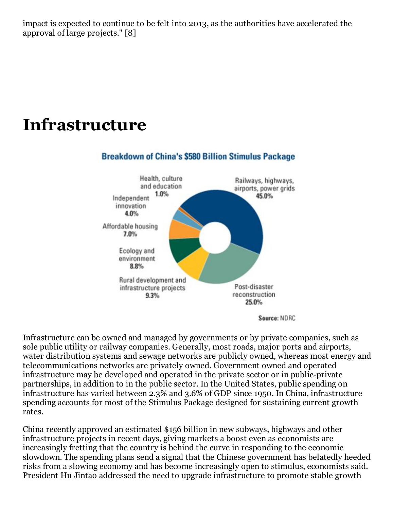impact is expected to continue to be felt into 2013, as the authorities have accelerated the approval of large projects." [8]

#### **Infrastructure**



Source: NDRC

Infrastructure can be owned and managed by governments or by private companies, such as sole public utility or railway companies. Generally, most roads, major ports and airports, water distribution systems and sewage networks are publicly owned, whereas most energy and telecommunications networks are privately owned. Government owned and operated infrastructure may be developed and operated in the private sector or in public-private partnerships, in addition to in the public sector. In the United States, public spending on infrastructure has varied between 2.3% and 3.6% of GDP since 1950. In China, infrastructure spending accounts for most of the Stimulus Package designed for sustaining current growth rates.

China recently approved an estimated \$156 billion in new subways, highways and other infrastructure projects in recent days, giving markets a boost even as economists are increasingly fretting that the country is behind the curve in responding to the economic slowdown. The spending plans send a signal that the Chinese government has belatedly heeded risks from a slowing economy and has become increasingly open to stimulus, economists said. President Hu Jintao addressed the need to upgrade infrastructure to promote stable growth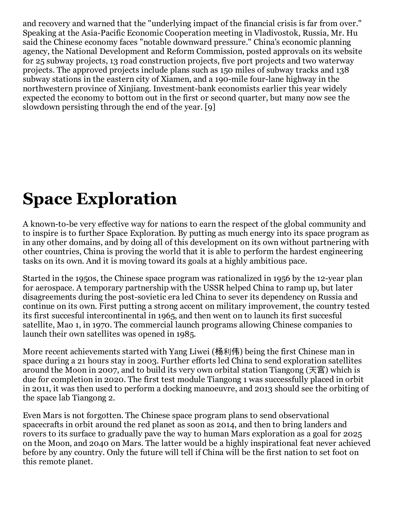and recovery and warned that the "underlying impact of the financial crisis is far from over." Speaking at the Asia-Pacific Economic Cooperation meeting in Vladivostok, Russia, Mr. Hu said the Chinese economy faces "notable downward pressure." China's economic planning agency, the National Development and Reform Commission, posted approvals on its website for 25 subway projects, 13 road construction projects, five port projects and two waterway projects. The approved projects include plans such as 150 miles of subway tracks and 138 subway stations in the eastern city of Xiamen, and a 190-mile four-lane highway in the northwestern province of Xinjiang. Investment-bank economists earlier this year widely expected the economy to bottom out in the first or second quarter, but many now see the slowdown persisting through the end of the year. [9]

# **Space Exploration**

A known-to-be very effective way for nations to earn the respect of the global community and to inspire is to further Space Exploration. By putting as much energy into its space program as in any other domains, and by doing all of this development on its own without partnering with other countries, China is proving the world that it is able to perform the hardest engineering tasks on its own. And it is moving toward its goals at a highly ambitious pace.

Started in the 1950s, the Chinese space program was rationalized in 1956 by the 12-year plan for aerospace. A temporary partnership with the USSR helped China to ramp up, but later disagreements during the post-sovietic era led China to sever its dependency on Russia and continue on its own. First putting a strong accent on military improvement, the country tested its first succesful intercontinental in 1965, and then went on to launch its first succesful satellite, Mao 1, in 1970. The commercial launch programs allowing Chinese companies to launch their own satellites was opened in 1985.

More recent achievements started with Yang Liwei (杨利伟) being the first Chinese man in space during a 21 hours stay in 2003. Further efforts led China to send exploration satellites around the Moon in 2007, and to build its very own orbital station Tiangong (天宫) which is due for completion in 2020. The first test module Tiangong 1 was successfully placed in orbit in 2011, it was then used to perform a docking manoeuvre, and 2013 should see the orbiting of the space lab Tiangong 2.

Even Mars is not forgotten. The Chinese space program plans to send observational spacecrafts in orbit around the red planet as soon as 2014, and then to bring landers and rovers to its surface to gradually pave the way to human Mars exploration as a goal for 2025 on the Moon, and 2040 on Mars. The latter would be a highly inspirational feat never achieved before by any country. Only the future will tell if China will be the first nation to set foot on this remote planet.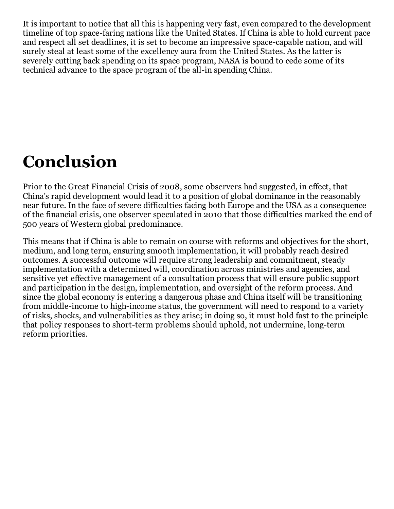It is important to notice that all this is happening very fast, even compared to the development timeline of top space-faring nations like the United States. If China is able to hold current pace and respect all set deadlines, it is set to become an impressive space-capable nation, and will surely steal at least some of the excellency aura from the United States. As the latter is severely cutting back spending on its space program, NASA is bound to cede some of its technical advance to the space program of the all-in spending China.

## **Conclusion**

Prior to the Great Financial Crisis of 2008, some observers had suggested, in effect, that China's rapid development would lead it to a position of global dominance in the reasonably near future. In the face of severe difficulties facing both Europe and the USA as a consequence of the financial crisis, one observer speculated in 2010 that those difficulties marked the end of 500 years of Western global predominance.

This means that if China is able to remain on course with reforms and objectives for the short, medium, and long term, ensuring smooth implementation, it will probably reach desired outcomes. A successful outcome will require strong leadership and commitment, steady implementation with a determined will, coordination across ministries and agencies, and sensitive yet effective management of a consultation process that will ensure public support and participation in the design, implementation, and oversight of the reform process. And since the global economy is entering a dangerous phase and China itself will be transitioning from middle-income to high-income status, the government will need to respond to a variety of risks, shocks, and vulnerabilities as they arise; in doing so, it must hold fast to the principle that policy responses to short-term problems should uphold, not undermine, long-term reform priorities.